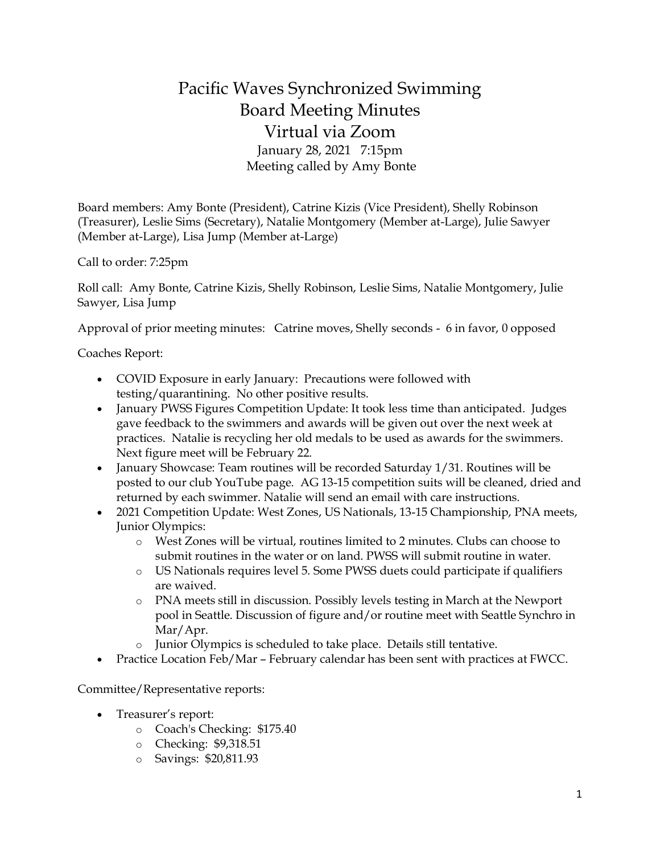## Pacific Waves Synchronized Swimming Board Meeting Minutes Virtual via Zoom January 28, 2021 7:15pm Meeting called by Amy Bonte

Board members: Amy Bonte (President), Catrine Kizis (Vice President), Shelly Robinson (Treasurer), Leslie Sims (Secretary), Natalie Montgomery (Member at-Large), Julie Sawyer (Member at-Large), Lisa Jump (Member at-Large)

Call to order: 7:25pm

Roll call: Amy Bonte, Catrine Kizis, Shelly Robinson, Leslie Sims, Natalie Montgomery, Julie Sawyer, Lisa Jump

Approval of prior meeting minutes: Catrine moves, Shelly seconds - 6 in favor, 0 opposed

Coaches Report:

- COVID Exposure in early January: Precautions were followed with testing/quarantining. No other positive results.
- January PWSS Figures Competition Update: It took less time than anticipated. Judges gave feedback to the swimmers and awards will be given out over the next week at practices. Natalie is recycling her old medals to be used as awards for the swimmers. Next figure meet will be February 22.
- January Showcase: Team routines will be recorded Saturday 1/31. Routines will be posted to our club YouTube page. AG 13-15 competition suits will be cleaned, dried and returned by each swimmer. Natalie will send an email with care instructions.
- 2021 Competition Update: West Zones, US Nationals, 13-15 Championship, PNA meets, Junior Olympics:
	- o West Zones will be virtual, routines limited to 2 minutes. Clubs can choose to submit routines in the water or on land. PWSS will submit routine in water.
	- o US Nationals requires level 5. Some PWSS duets could participate if qualifiers are waived.
	- o PNA meets still in discussion. Possibly levels testing in March at the Newport pool in Seattle. Discussion of figure and/or routine meet with Seattle Synchro in Mar/Apr.
	- o Junior Olympics is scheduled to take place. Details still tentative.
- Practice Location Feb/Mar February calendar has been sent with practices at FWCC.

Committee/Representative reports:

- Treasurer's report:
	- o Coach's Checking: \$175.40
	- o Checking: \$9,318.51
	- o Savings: \$20,811.93